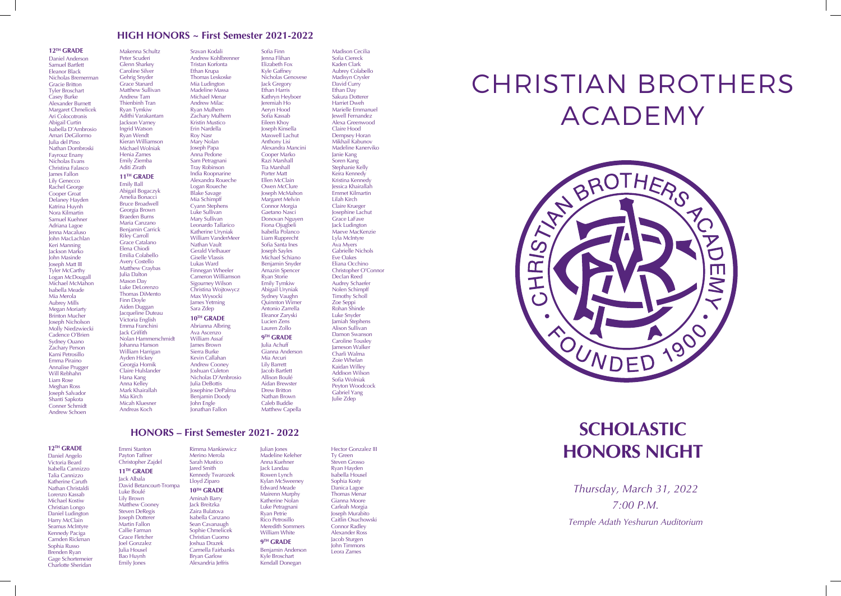# **SCHOLASTIC HONORS NIGHT**

### **12TH GRADE**

Daniel Anderson Samuel Bartlett Eleanor Black Nicholas Bremerman Gracie Britton Tyler Broschart Casey Burke Alexander Burnett Margaret Chmelicek Ari Colocotronis Abigail Curtin Isabella D'Ambrosio Amari DeGilormo Julia del Pino Nathan Dombroski Fayrouz Enany Nicholas Evans Christina Falasco James Fallon Lily Genecco Rachel George Cooper Groat Delaney Hayden Katrina Huynh Nora Kilmartin Samuel Kuehner Adriana Lagoe Jenna Macaluso John MacLachlan Keri Manning Jackson Marko John Masinde Joseph Matt III Tyler McCarthy Logan McDougal Michael McMahon Isabella Meade Mia Merola Aubrey Mills Megan Moriarty Brinton Mucher Joseph Nicholson Molly Niedzwiecki Cadence O'Brien Sydney Ouano Zachary Person Kami Petrosillo Emma Piraino Annalise Prugger Will Rebhahn Liam Rose Meghan Ross Joseph Salvador Shanti Sapkota Conner Schmidt Andrew Schoen

Makenna Schultz Peter Scuderi Glenn Sharkey Caroline Silver Gehrig Snyder Grace Stanard Matthew Sullivan Andrew Tam Thienbinh Tran Ryan Tymkiw Adithi Varakantam **Jackson Varney** Ingrid Watson Ryan Wendt Kieran Williamson Michael Wolniak Henia Zames Emily Ziemba Aditi Zirath **11TH GRADE**

# Emily Ball

Abigail Bogaczyk Amelia Bonacci **Bruce Broadwell** Georgia Brown Braeden Burns Maria Canzano Benjamin Carrick Riley Carroll Grace Catalano Elena Chiodi Emilia Colabello Avery Costello Matthew Craybas Julia Dalton Mason Day Luke DeLorenzo Thomas DiMento Finn Doyle Aiden Duggan Jacqueline Duteau Victoria English Emma Franchini Jack Griffith Nolan Hammerschmidt Johanna Hanson William Harrigan Ayden Hickey Georgia Homik Claire Hulslander Hana Kang Anna Kelley Mark Khairallah Mia Kirch Micah Kluesner Andreas Koch

Sravan Kodali Andrew Kohlbrenner Tristan Korfonta Ethan Krupa Thomas Leskoske Mia Ludington Madeline Massa Michael Menar Andrew Milac Ryan Mulhern Zachary Mulhern Kristin Mustico Erin Nardella Roy Nasr Mary Nolan Joseph Papa Anna Pedone Sam Petragnani Tray Robinson India Roopnarine Alexandra Roueche Logan Roueche Blake Savage Mia Schimpff Cyann Stephens Luke Sullivan Mary Sullivan Leonardo Tallarico Katherine Uryniak William VanderMeer Nathan Vault Gerald Vielhauer

Giselle Vlassis Lukas Ward Finnegan Wheeler Cameron Williamson Sigourney Wilson Christina Wojtowycz Max Wysocki James Yetming Sara Zdep **10TH GRADE** Abrianna Albring Ava Ascenzo

### William Assaf James Brown Sierra Burke Kevin Callahan **Andrew Cooney** Joshuan Culeton Nicholas D'Ambrosio Julia DeBottis Josephine DePalma Benjamin Doody John Engle Jonathan Fallon

Sofia Finn Jenna Flihan Elizabeth Fox Kyle Gaffney

Nicholas Genovese Jack Gregory Ethan Harris Kathryn Heyboer Jeremiah Ho Aeryn Hood Sofia Kassab Eileen Khoy Joseph Kinsella Maxwell Lachut Anthony Lisi Alexandra Mancini Cooper Marko Razi Marshall Tia Marshall Porter Matt Ellen McClain Owen McClure Joseph McMahon Margaret Melvin Connor Morgia Gaetano Nasci Donovan Nguyen Fiona Ojugbeli Isabella Polanco Liam Rupprecht Sofia Santa Ines Joseph Sayles Michael Schiano Benjamin Snyder Amazin Spencer Ryan Storie Emily Tymkiw Abigail Uryniak Sydney Vaughn Quinnton Wimer Antonio Zarrella Eleanor Zaryski Lucien Zens Lauren Zollo **9TH GRADE** Julia Achuff Gianna Anderson Mia Arcuri Lily Barrett Jacob Bartlett

> Allison Boulé Aidan Brewster Drew Britton Nathan Brown Caleb Buddie Matthew Capella

Madison Cecilia

Sofia Ciereck Kaden Clark Aubrey Colabello Madisyn Crysler David Curry Ethan Day Sakura Dotterer Harriet Dweh Marielle Emmanuel Jewell Fernandez Alexa Greenwood Claire Hood Dempsey Horan Mikhail Kabunov Madeline Kanerviko Janie Kang Soren Kang Stephanie Kelly Keira Kennedy Kristina Kennedy Jessica Khairallah Emmet Kilmartin Lilah Kirch Claire Krueger Josephine Lachut Grace LaFave Jack Ludington Maeve MacKenzie Lyla McIntyre Ava Myers Gabrielle Nichols Eve Oakes Eliana Occhino Christopher O'Connor Declan Reed Audrey Schaefer Nolen Schimpff Timothy Scholl Zoe Seppi Rohan Shinde Luke Snyder Jamiah Stephens Alison Sullivan Damon Swanson Caroline Tousley Jameson Walker Charli Walma Zoie Whelan Kaidan Willey Addison Wilson Sofia Wolniak Peyton Woodcock Gabriel Yang Julie Zdep

## **12TH GRADE**

Daniel Angelo Victoria Beard Isabella Cannizzo Talia Cannizzo Katherine Caruth Nathan Christaldi Lorenzo Kassab Michael Kostiw Christian Longo Daniel Ludington Harry McClain Seamus McIntyre Kennedy Paciga Camden Rickman Sophia Russo Brenden Ryan Gage Schortemeier Charlotte Sheridan

### Emmi Stanton Payton Taffner Christopher Zajdel **11TH GRADE** Jack Albala David Betancourt-Trompa Luke Boulé Lily Brown Matthew Cooney Steven DeRegis Joseph Dotterer Martin Fallon Callie Farman Grace Fletcher Joel Gonzalez Julia Housel Bao Huynh

Emily Jones

Rimma Mankiewicz Merino Merola Sarah Mustico Jared Smith Kennedy Twarozek Lloyd Ziparo **10TH GRADE** Aminah Barry Jack Breitzka Zaira Bulatova Isabella Canzano Sean Cavanaugh Sophie Chmelicek Christian Cuomo Joshua Drazek Carmella Fairbanks Bryan Garlow

Alexandria Jeffris

Julian Jones Madeline Keleher Anna Kuehner Jack Landau Rowen Lynch Kylan McSweeney Edward Meade Mairenn Murphy Katherine Nolan Luke Petragnani Ryan Petrie Rico Petrosillo Meredith Sommers William White **9TH GRADE** Benjamin Anderson Kyle Broschart

Kendall Donegan

Hector Gonzalez III Ty Green Steven Grosso Ryan Hayden Isabella Housel Sophia Kosty Danica Lagoe Thomas Menar Gianna Moore Carleah Morgia Joseph Murabito Caitlin Osuchowski Connor Radley Alexander Ross Jacob Sturgen John Timmons Leora Zames

*Thursday, March 31, 2022 7:00 P.M. Temple Adath Yeshurun Auditorium*

# **HIGH HONORS ~ First Semester 2021-2022**

**HONORS – First Semester 2021- 2022**

# CHRISTIAN BROTHERS ACADEMY